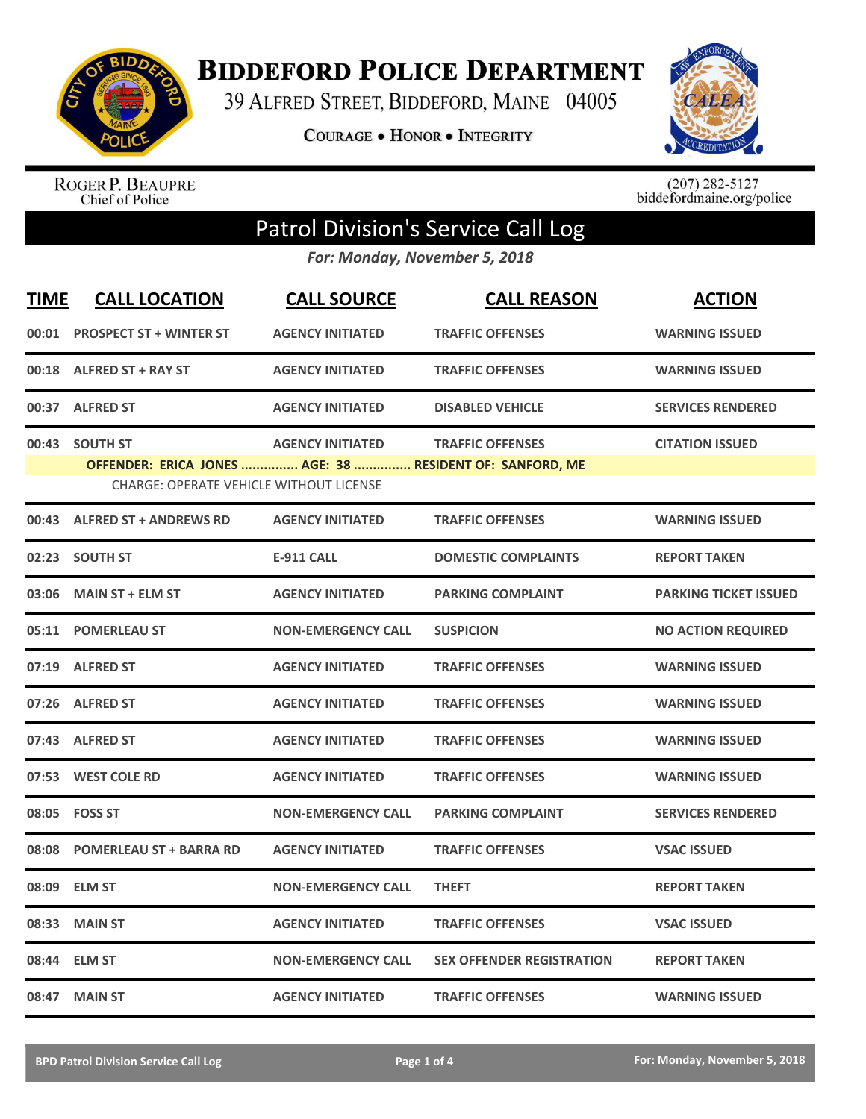

**BIDDEFORD POLICE DEPARTMENT** 

39 ALFRED STREET, BIDDEFORD, MAINE 04005

**COURAGE . HONOR . INTEGRITY** 



ROGER P. BEAUPRE<br>Chief of Police

 $(207)$  282-5127<br>biddefordmaine.org/police

## Patrol Division's Service Call Log

*For: Monday, November 5, 2018*

| <b>TIME</b> | <b>CALL LOCATION</b>                                                                                       | <b>CALL SOURCE</b>        | <b>CALL REASON</b>               | <b>ACTION</b>                |
|-------------|------------------------------------------------------------------------------------------------------------|---------------------------|----------------------------------|------------------------------|
|             | 00:01 PROSPECT ST + WINTER ST                                                                              | <b>AGENCY INITIATED</b>   | <b>TRAFFIC OFFENSES</b>          | <b>WARNING ISSUED</b>        |
|             | 00:18 ALFRED ST + RAY ST                                                                                   | <b>AGENCY INITIATED</b>   | <b>TRAFFIC OFFENSES</b>          | <b>WARNING ISSUED</b>        |
|             | 00:37 ALFRED ST                                                                                            | <b>AGENCY INITIATED</b>   | <b>DISABLED VEHICLE</b>          | <b>SERVICES RENDERED</b>     |
|             | 00:43 SOUTH ST                                                                                             | <b>AGENCY INITIATED</b>   | <b>TRAFFIC OFFENSES</b>          | <b>CITATION ISSUED</b>       |
|             | OFFENDER: ERICA JONES  AGE: 38  RESIDENT OF: SANFORD, ME<br><b>CHARGE: OPERATE VEHICLE WITHOUT LICENSE</b> |                           |                                  |                              |
|             |                                                                                                            |                           |                                  |                              |
|             | 00:43 ALFRED ST + ANDREWS RD                                                                               | <b>AGENCY INITIATED</b>   | <b>TRAFFIC OFFENSES</b>          | <b>WARNING ISSUED</b>        |
|             | 02:23 SOUTH ST                                                                                             | <b>E-911 CALL</b>         | <b>DOMESTIC COMPLAINTS</b>       | <b>REPORT TAKEN</b>          |
| 03:06       | <b>MAIN ST + ELM ST</b>                                                                                    | <b>AGENCY INITIATED</b>   | <b>PARKING COMPLAINT</b>         | <b>PARKING TICKET ISSUED</b> |
|             | 05:11 POMERLEAU ST                                                                                         | <b>NON-EMERGENCY CALL</b> | <b>SUSPICION</b>                 | <b>NO ACTION REQUIRED</b>    |
|             | 07:19 ALFRED ST                                                                                            | <b>AGENCY INITIATED</b>   | <b>TRAFFIC OFFENSES</b>          | <b>WARNING ISSUED</b>        |
|             | 07:26 ALFRED ST                                                                                            | <b>AGENCY INITIATED</b>   | <b>TRAFFIC OFFENSES</b>          | <b>WARNING ISSUED</b>        |
|             | 07:43 ALFRED ST                                                                                            | <b>AGENCY INITIATED</b>   | <b>TRAFFIC OFFENSES</b>          | <b>WARNING ISSUED</b>        |
|             | 07:53 WEST COLE RD                                                                                         | <b>AGENCY INITIATED</b>   | <b>TRAFFIC OFFENSES</b>          | <b>WARNING ISSUED</b>        |
|             | 08:05 FOSS ST                                                                                              | <b>NON-EMERGENCY CALL</b> | <b>PARKING COMPLAINT</b>         | <b>SERVICES RENDERED</b>     |
|             | 08:08 POMERLEAU ST + BARRA RD                                                                              | <b>AGENCY INITIATED</b>   | <b>TRAFFIC OFFENSES</b>          | <b>VSAC ISSUED</b>           |
| 08:09       | <b>ELM ST</b>                                                                                              | <b>NON-EMERGENCY CALL</b> | <b>THEFT</b>                     | <b>REPORT TAKEN</b>          |
| 08:33       | <b>MAIN ST</b>                                                                                             | <b>AGENCY INITIATED</b>   | <b>TRAFFIC OFFENSES</b>          | <b>VSAC ISSUED</b>           |
| 08:44       | <b>ELM ST</b>                                                                                              | <b>NON-EMERGENCY CALL</b> | <b>SEX OFFENDER REGISTRATION</b> | <b>REPORT TAKEN</b>          |
|             | 08:47 MAIN ST                                                                                              | <b>AGENCY INITIATED</b>   | <b>TRAFFIC OFFENSES</b>          | <b>WARNING ISSUED</b>        |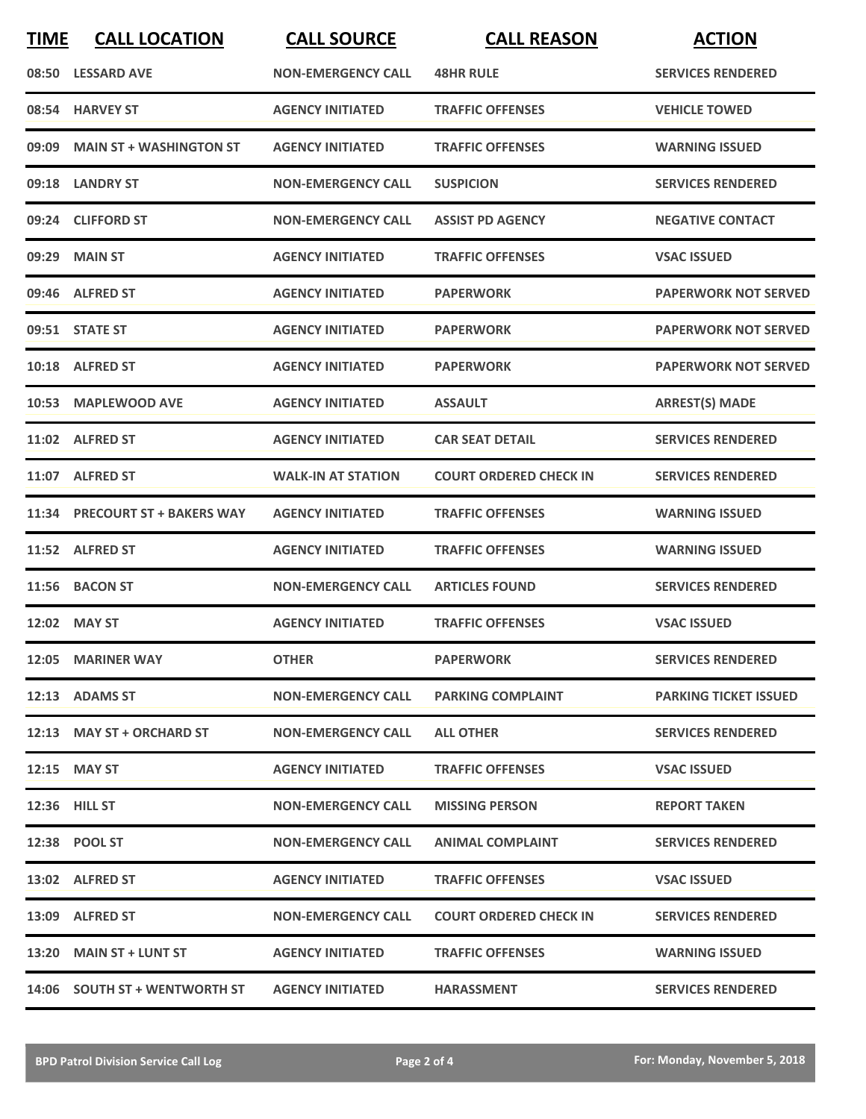| <b>TIME</b> | <b>CALL LOCATION</b>            | <b>CALL SOURCE</b>        | <b>CALL REASON</b>            | <b>ACTION</b>                |
|-------------|---------------------------------|---------------------------|-------------------------------|------------------------------|
|             | 08:50 LESSARD AVE               | <b>NON-EMERGENCY CALL</b> | <b>48HR RULE</b>              | <b>SERVICES RENDERED</b>     |
| 08:54       | <b>HARVEY ST</b>                | <b>AGENCY INITIATED</b>   | <b>TRAFFIC OFFENSES</b>       | <b>VEHICLE TOWED</b>         |
| 09:09       | <b>MAIN ST + WASHINGTON ST</b>  | <b>AGENCY INITIATED</b>   | <b>TRAFFIC OFFENSES</b>       | <b>WARNING ISSUED</b>        |
|             | 09:18 LANDRY ST                 | <b>NON-EMERGENCY CALL</b> | <b>SUSPICION</b>              | <b>SERVICES RENDERED</b>     |
|             | 09:24 CLIFFORD ST               | <b>NON-EMERGENCY CALL</b> | <b>ASSIST PD AGENCY</b>       | <b>NEGATIVE CONTACT</b>      |
| 09:29       | <b>MAIN ST</b>                  | <b>AGENCY INITIATED</b>   | <b>TRAFFIC OFFENSES</b>       | <b>VSAC ISSUED</b>           |
|             | 09:46 ALFRED ST                 | <b>AGENCY INITIATED</b>   | <b>PAPERWORK</b>              | <b>PAPERWORK NOT SERVED</b>  |
|             | 09:51 STATE ST                  | <b>AGENCY INITIATED</b>   | <b>PAPERWORK</b>              | <b>PAPERWORK NOT SERVED</b>  |
|             | 10:18 ALFRED ST                 | <b>AGENCY INITIATED</b>   | <b>PAPERWORK</b>              | <b>PAPERWORK NOT SERVED</b>  |
|             | 10:53 MAPLEWOOD AVE             | <b>AGENCY INITIATED</b>   | <b>ASSAULT</b>                | <b>ARREST(S) MADE</b>        |
|             | 11:02 ALFRED ST                 | <b>AGENCY INITIATED</b>   | <b>CAR SEAT DETAIL</b>        | <b>SERVICES RENDERED</b>     |
|             | 11:07 ALFRED ST                 | <b>WALK-IN AT STATION</b> | <b>COURT ORDERED CHECK IN</b> | <b>SERVICES RENDERED</b>     |
| 11:34       | <b>PRECOURT ST + BAKERS WAY</b> | <b>AGENCY INITIATED</b>   | <b>TRAFFIC OFFENSES</b>       | <b>WARNING ISSUED</b>        |
|             | 11:52 ALFRED ST                 | <b>AGENCY INITIATED</b>   | <b>TRAFFIC OFFENSES</b>       | <b>WARNING ISSUED</b>        |
|             | 11:56 BACON ST                  | <b>NON-EMERGENCY CALL</b> | <b>ARTICLES FOUND</b>         | <b>SERVICES RENDERED</b>     |
|             | 12:02 MAY ST                    | <b>AGENCY INITIATED</b>   | <b>TRAFFIC OFFENSES</b>       | <b>VSAC ISSUED</b>           |
|             | 12:05 MARINER WAY               | <b>OTHER</b>              | <b>PAPERWORK</b>              | <b>SERVICES RENDERED</b>     |
|             | 12:13 ADAMS ST                  | <b>NON-EMERGENCY CALL</b> | <b>PARKING COMPLAINT</b>      | <b>PARKING TICKET ISSUED</b> |
|             | 12:13 MAY ST + ORCHARD ST       | <b>NON-EMERGENCY CALL</b> | <b>ALL OTHER</b>              | <b>SERVICES RENDERED</b>     |
|             | 12:15 MAY ST                    | <b>AGENCY INITIATED</b>   | <b>TRAFFIC OFFENSES</b>       | <b>VSAC ISSUED</b>           |
|             | 12:36 HILL ST                   | <b>NON-EMERGENCY CALL</b> | <b>MISSING PERSON</b>         | <b>REPORT TAKEN</b>          |
|             | 12:38 POOL ST                   | <b>NON-EMERGENCY CALL</b> | <b>ANIMAL COMPLAINT</b>       | <b>SERVICES RENDERED</b>     |
|             | 13:02 ALFRED ST                 | <b>AGENCY INITIATED</b>   | <b>TRAFFIC OFFENSES</b>       | <b>VSAC ISSUED</b>           |
|             | 13:09 ALFRED ST                 | <b>NON-EMERGENCY CALL</b> | <b>COURT ORDERED CHECK IN</b> | <b>SERVICES RENDERED</b>     |
|             | 13:20 MAIN ST + LUNT ST         | <b>AGENCY INITIATED</b>   | <b>TRAFFIC OFFENSES</b>       | <b>WARNING ISSUED</b>        |
|             | 14:06 SOUTH ST + WENTWORTH ST   | <b>AGENCY INITIATED</b>   | <b>HARASSMENT</b>             | <b>SERVICES RENDERED</b>     |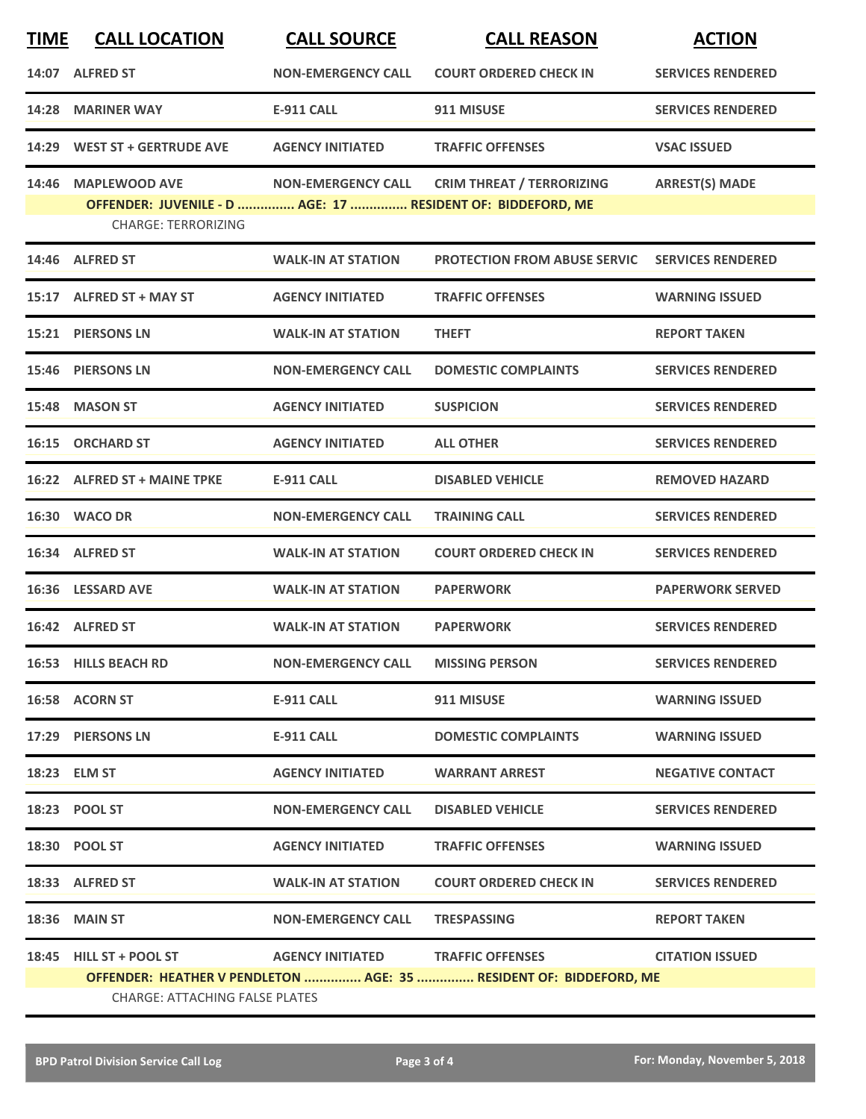| <b>TIME</b> | <b>CALL LOCATION</b>                                                                                        | <b>CALL SOURCE</b>                | <b>CALL REASON</b>                  | <b>ACTION</b>            |  |
|-------------|-------------------------------------------------------------------------------------------------------------|-----------------------------------|-------------------------------------|--------------------------|--|
|             | 14:07 ALFRED ST                                                                                             | <b>NON-EMERGENCY CALL</b>         | <b>COURT ORDERED CHECK IN</b>       | <b>SERVICES RENDERED</b> |  |
|             | 14:28 MARINER WAY                                                                                           | <b>E-911 CALL</b>                 | 911 MISUSE                          | <b>SERVICES RENDERED</b> |  |
|             | 14:29 WEST ST + GERTRUDE AVE                                                                                | <b>AGENCY INITIATED</b>           | <b>TRAFFIC OFFENSES</b>             | <b>VSAC ISSUED</b>       |  |
| 14:46       | <b>MAPLEWOOD AVE</b>                                                                                        | <b>NON-EMERGENCY CALL</b>         | <b>CRIM THREAT / TERRORIZING</b>    | <b>ARREST(S) MADE</b>    |  |
|             | OFFENDER: JUVENILE - D  AGE: 17  RESIDENT OF: BIDDEFORD, ME<br><b>CHARGE: TERRORIZING</b>                   |                                   |                                     |                          |  |
|             | 14:46 ALFRED ST                                                                                             | <b>WALK-IN AT STATION</b>         | <b>PROTECTION FROM ABUSE SERVIC</b> | <b>SERVICES RENDERED</b> |  |
|             | 15:17 ALFRED ST + MAY ST                                                                                    | <b>AGENCY INITIATED</b>           | <b>TRAFFIC OFFENSES</b>             | <b>WARNING ISSUED</b>    |  |
|             | 15:21 PIERSONS LN                                                                                           | <b>WALK-IN AT STATION</b>         | <b>THEFT</b>                        | <b>REPORT TAKEN</b>      |  |
|             | 15:46 PIERSONS LN                                                                                           | <b>NON-EMERGENCY CALL</b>         | <b>DOMESTIC COMPLAINTS</b>          | <b>SERVICES RENDERED</b> |  |
|             | 15:48 MASON ST                                                                                              | <b>AGENCY INITIATED</b>           | <b>SUSPICION</b>                    | <b>SERVICES RENDERED</b> |  |
|             | 16:15 ORCHARD ST                                                                                            | <b>AGENCY INITIATED</b>           | <b>ALL OTHER</b>                    | <b>SERVICES RENDERED</b> |  |
|             | 16:22 ALFRED ST + MAINE TPKE                                                                                | <b>E-911 CALL</b>                 | <b>DISABLED VEHICLE</b>             | <b>REMOVED HAZARD</b>    |  |
|             | <b>16:30 WACO DR</b>                                                                                        | <b>NON-EMERGENCY CALL</b>         | <b>TRAINING CALL</b>                | <b>SERVICES RENDERED</b> |  |
|             | 16:34 ALFRED ST                                                                                             | <b>WALK-IN AT STATION</b>         | <b>COURT ORDERED CHECK IN</b>       | <b>SERVICES RENDERED</b> |  |
|             | 16:36 LESSARD AVE                                                                                           | <b>WALK-IN AT STATION</b>         | <b>PAPERWORK</b>                    | <b>PAPERWORK SERVED</b>  |  |
|             | 16:42 ALFRED ST                                                                                             | <b>WALK-IN AT STATION</b>         | <b>PAPERWORK</b>                    | <b>SERVICES RENDERED</b> |  |
|             | 16:53 HILLS BEACH RD                                                                                        | NON-EMERGENCY CALL MISSING PERSON |                                     | <b>SERVICES RENDERED</b> |  |
|             | 16:58 ACORN ST                                                                                              | <b>E-911 CALL</b>                 | 911 MISUSE                          | <b>WARNING ISSUED</b>    |  |
|             | 17:29 PIERSONS LN                                                                                           | E-911 CALL                        | <b>DOMESTIC COMPLAINTS</b>          | <b>WARNING ISSUED</b>    |  |
|             | 18:23 ELM ST                                                                                                | <b>AGENCY INITIATED</b>           | <b>WARRANT ARREST</b>               | <b>NEGATIVE CONTACT</b>  |  |
|             | 18:23 POOL ST                                                                                               | <b>NON-EMERGENCY CALL</b>         | <b>DISABLED VEHICLE</b>             | <b>SERVICES RENDERED</b> |  |
|             | 18:30 POOL ST                                                                                               | <b>AGENCY INITIATED</b>           | <b>TRAFFIC OFFENSES</b>             | <b>WARNING ISSUED</b>    |  |
|             | 18:33 ALFRED ST                                                                                             | <b>WALK-IN AT STATION</b>         | <b>COURT ORDERED CHECK IN</b>       | <b>SERVICES RENDERED</b> |  |
|             | 18:36 MAIN ST                                                                                               | <b>NON-EMERGENCY CALL</b>         | <b>TRESPASSING</b>                  | <b>REPORT TAKEN</b>      |  |
|             | 18:45 HILL ST + POOL ST                                                                                     |                                   | AGENCY INITIATED TRAFFIC OFFENSES   | <b>CITATION ISSUED</b>   |  |
|             | OFFENDER: HEATHER V PENDLETON  AGE: 35  RESIDENT OF: BIDDEFORD, ME<br><b>CHARGE: ATTACHING FALSE PLATES</b> |                                   |                                     |                          |  |